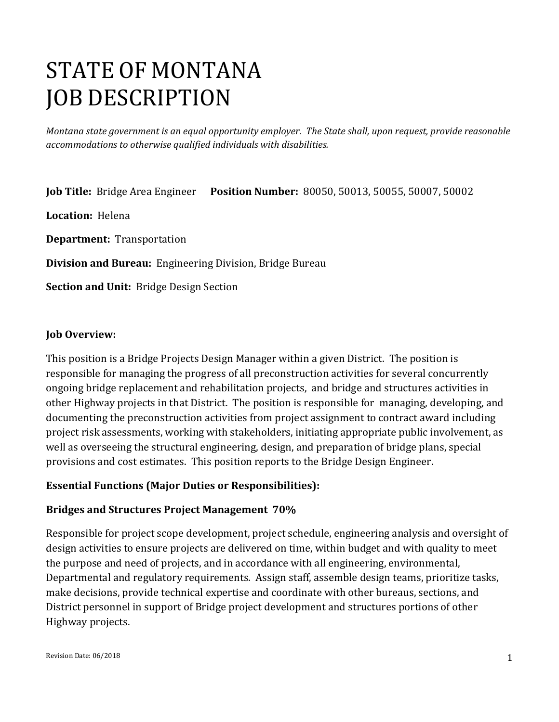# STATE OF MONTANA JOB DESCRIPTION

*Montana state government is an equal opportunity employer. The State shall, upon request, provide reasonable accommodations to otherwise qualified individuals with disabilities.*

**Job Title:** Bridge Area Engineer **Position Number:** 80050, 50013, 50055, 50007, 50002

**Location:** Helena

**Department:** Transportation

**Division and Bureau:** Engineering Division, Bridge Bureau

**Section and Unit:** Bridge Design Section

#### **Job Overview:**

This position is a Bridge Projects Design Manager within a given District. The position is responsible for managing the progress of all preconstruction activities for several concurrently ongoing bridge replacement and rehabilitation projects, and bridge and structures activities in other Highway projects in that District. The position is responsible for managing, developing, and documenting the preconstruction activities from project assignment to contract award including project risk assessments, working with stakeholders, initiating appropriate public involvement, as well as overseeing the structural engineering, design, and preparation of bridge plans, special provisions and cost estimates. This position reports to the Bridge Design Engineer.

#### **Essential Functions (Major Duties or Responsibilities):**

#### **Bridges and Structures Project Management 70%**

Responsible for project scope development, project schedule, engineering analysis and oversight of design activities to ensure projects are delivered on time, within budget and with quality to meet the purpose and need of projects, and in accordance with all engineering, environmental, Departmental and regulatory requirements. Assign staff, assemble design teams, prioritize tasks, make decisions, provide technical expertise and coordinate with other bureaus, sections, and District personnel in support of Bridge project development and structures portions of other Highway projects.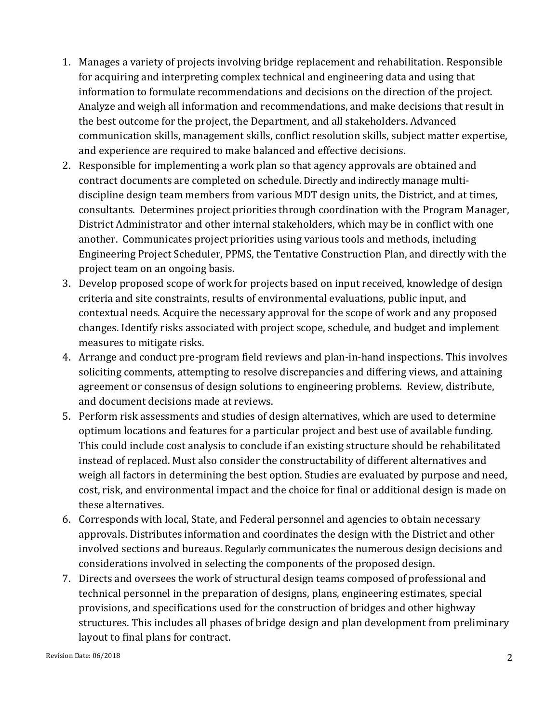- 1. Manages a variety of projects involving bridge replacement and rehabilitation. Responsible for acquiring and interpreting complex technical and engineering data and using that information to formulate recommendations and decisions on the direction of the project. Analyze and weigh all information and recommendations, and make decisions that result in the best outcome for the project, the Department, and all stakeholders. Advanced communication skills, management skills, conflict resolution skills, subject matter expertise, and experience are required to make balanced and effective decisions.
- 2. Responsible for implementing a work plan so that agency approvals are obtained and contract documents are completed on schedule. Directly and indirectly manage multidiscipline design team members from various MDT design units, the District, and at times, consultants. Determines project priorities through coordination with the Program Manager, District Administrator and other internal stakeholders, which may be in conflict with one another. Communicates project priorities using various tools and methods, including Engineering Project Scheduler, PPMS, the Tentative Construction Plan, and directly with the project team on an ongoing basis.
- 3. Develop proposed scope of work for projects based on input received, knowledge of design criteria and site constraints, results of environmental evaluations, public input, and contextual needs. Acquire the necessary approval for the scope of work and any proposed changes. Identify risks associated with project scope, schedule, and budget and implement measures to mitigate risks.
- 4. Arrange and conduct pre-program field reviews and plan-in-hand inspections. This involves soliciting comments, attempting to resolve discrepancies and differing views, and attaining agreement or consensus of design solutions to engineering problems. Review, distribute, and document decisions made at reviews.
- 5. Perform risk assessments and studies of design alternatives, which are used to determine optimum locations and features for a particular project and best use of available funding. This could include cost analysis to conclude if an existing structure should be rehabilitated instead of replaced. Must also consider the constructability of different alternatives and weigh all factors in determining the best option. Studies are evaluated by purpose and need, cost, risk, and environmental impact and the choice for final or additional design is made on these alternatives.
- 6. Corresponds with local, State, and Federal personnel and agencies to obtain necessary approvals. Distributes information and coordinates the design with the District and other involved sections and bureaus. Regularly communicates the numerous design decisions and considerations involved in selecting the components of the proposed design.
- 7. Directs and oversees the work of structural design teams composed of professional and technical personnel in the preparation of designs, plans, engineering estimates, special provisions, and specifications used for the construction of bridges and other highway structures. This includes all phases of bridge design and plan development from preliminary layout to final plans for contract.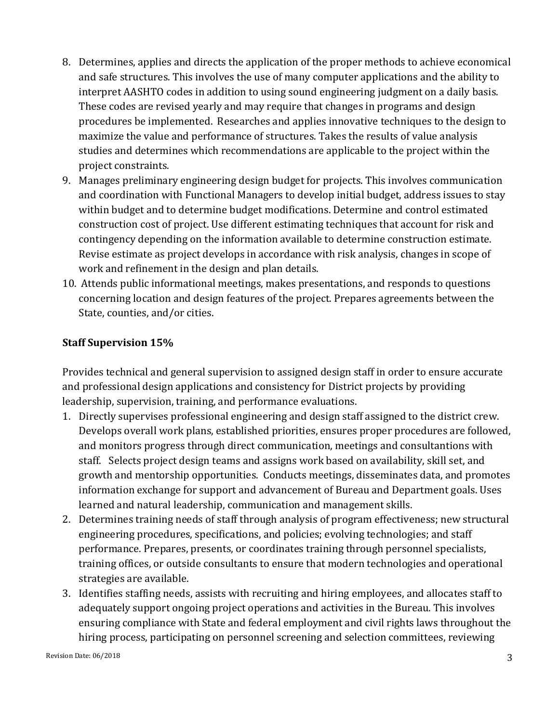- 8. Determines, applies and directs the application of the proper methods to achieve economical and safe structures. This involves the use of many computer applications and the ability to interpret AASHTO codes in addition to using sound engineering judgment on a daily basis. These codes are revised yearly and may require that changes in programs and design procedures be implemented. Researches and applies innovative techniques to the design to maximize the value and performance of structures. Takes the results of value analysis studies and determines which recommendations are applicable to the project within the project constraints.
- 9. Manages preliminary engineering design budget for projects. This involves communication and coordination with Functional Managers to develop initial budget, address issues to stay within budget and to determine budget modifications. Determine and control estimated construction cost of project. Use different estimating techniques that account for risk and contingency depending on the information available to determine construction estimate. Revise estimate as project develops in accordance with risk analysis, changes in scope of work and refinement in the design and plan details.
- 10. Attends public informational meetings, makes presentations, and responds to questions concerning location and design features of the project. Prepares agreements between the State, counties, and/or cities.

#### **Staff Supervision 15%**

Provides technical and general supervision to assigned design staff in order to ensure accurate and professional design applications and consistency for District projects by providing leadership, supervision, training, and performance evaluations.

- 1. Directly supervises professional engineering and design staff assigned to the district crew. Develops overall work plans, established priorities, ensures proper procedures are followed, and monitors progress through direct communication, meetings and consultantions with staff. Selects project design teams and assigns work based on availability, skill set, and growth and mentorship opportunities. Conducts meetings, disseminates data, and promotes information exchange for support and advancement of Bureau and Department goals. Uses learned and natural leadership, communication and management skills.
- 2. Determines training needs of staff through analysis of program effectiveness; new structural engineering procedures, specifications, and policies; evolving technologies; and staff performance. Prepares, presents, or coordinates training through personnel specialists, training offices, or outside consultants to ensure that modern technologies and operational strategies are available.
- 3. Identifies staffing needs, assists with recruiting and hiring employees, and allocates staff to adequately support ongoing project operations and activities in the Bureau. This involves ensuring compliance with State and federal employment and civil rights laws throughout the hiring process, participating on personnel screening and selection committees, reviewing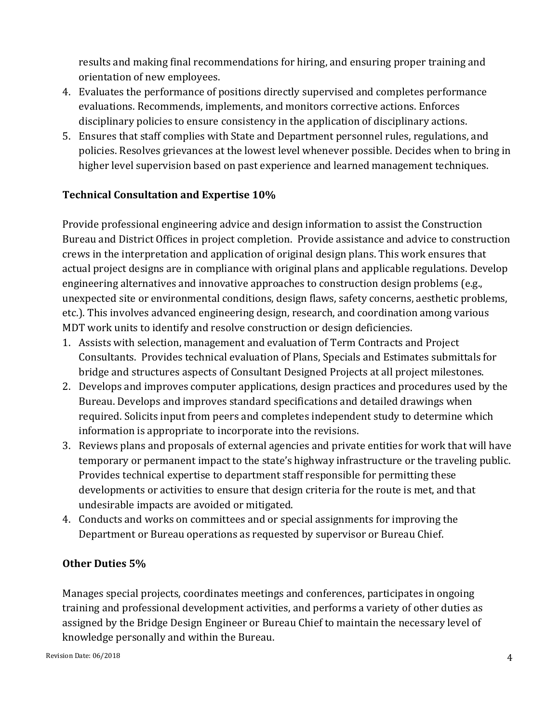results and making final recommendations for hiring, and ensuring proper training and orientation of new employees.

- 4. Evaluates the performance of positions directly supervised and completes performance evaluations. Recommends, implements, and monitors corrective actions. Enforces disciplinary policies to ensure consistency in the application of disciplinary actions.
- 5. Ensures that staff complies with State and Department personnel rules, regulations, and policies. Resolves grievances at the lowest level whenever possible. Decides when to bring in higher level supervision based on past experience and learned management techniques.

#### **Technical Consultation and Expertise 10%**

Provide professional engineering advice and design information to assist the Construction Bureau and District Offices in project completion. Provide assistance and advice to construction crews in the interpretation and application of original design plans. This work ensures that actual project designs are in compliance with original plans and applicable regulations. Develop engineering alternatives and innovative approaches to construction design problems (e.g., unexpected site or environmental conditions, design flaws, safety concerns, aesthetic problems, etc.). This involves advanced engineering design, research, and coordination among various MDT work units to identify and resolve construction or design deficiencies.

- 1. Assists with selection, management and evaluation of Term Contracts and Project Consultants. Provides technical evaluation of Plans, Specials and Estimates submittals for bridge and structures aspects of Consultant Designed Projects at all project milestones.
- 2. Develops and improves computer applications, design practices and procedures used by the Bureau. Develops and improves standard specifications and detailed drawings when required. Solicits input from peers and completes independent study to determine which information is appropriate to incorporate into the revisions.
- 3. Reviews plans and proposals of external agencies and private entities for work that will have temporary or permanent impact to the state's highway infrastructure or the traveling public. Provides technical expertise to department staff responsible for permitting these developments or activities to ensure that design criteria for the route is met, and that undesirable impacts are avoided or mitigated.
- 4. Conducts and works on committees and or special assignments for improving the Department or Bureau operations as requested by supervisor or Bureau Chief.

#### **Other Duties 5%**

Manages special projects, coordinates meetings and conferences, participates in ongoing training and professional development activities, and performs a variety of other duties as assigned by the Bridge Design Engineer or Bureau Chief to maintain the necessary level of knowledge personally and within the Bureau.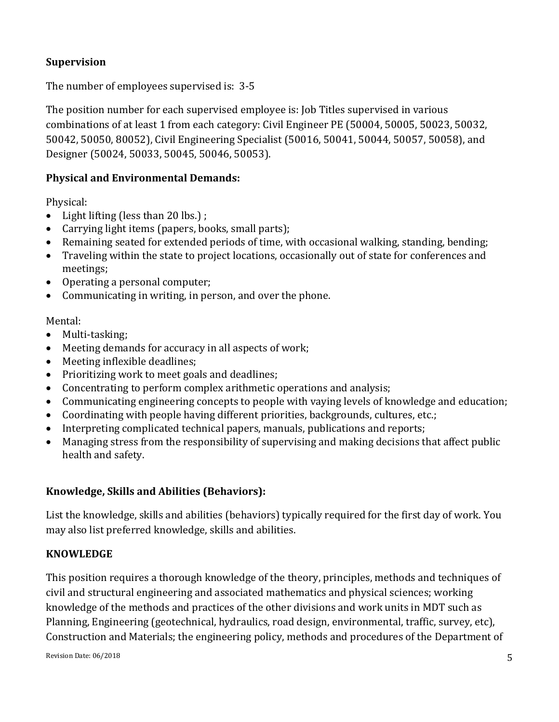# **Supervision**

The number of employees supervised is: 3-5

The position number for each supervised employee is: Job Titles supervised in various combinations of at least 1 from each category: Civil Engineer PE (50004, 50005, 50023, 50032, 50042, 50050, 80052), Civil Engineering Specialist (50016, 50041, 50044, 50057, 50058), and Designer (50024, 50033, 50045, 50046, 50053).

## **Physical and Environmental Demands:**

Physical:

- Light lifting (less than 20 lbs.);
- Carrying light items (papers, books, small parts);
- Remaining seated for extended periods of time, with occasional walking, standing, bending;
- Traveling within the state to project locations, occasionally out of state for conferences and meetings;
- Operating a personal computer;
- Communicating in writing, in person, and over the phone.

Mental:

- Multi-tasking;
- Meeting demands for accuracy in all aspects of work;
- Meeting inflexible deadlines;
- Prioritizing work to meet goals and deadlines;
- Concentrating to perform complex arithmetic operations and analysis;
- Communicating engineering concepts to people with vaying levels of knowledge and education;
- Coordinating with people having different priorities, backgrounds, cultures, etc.;
- Interpreting complicated technical papers, manuals, publications and reports;
- Managing stress from the responsibility of supervising and making decisions that affect public health and safety.

#### **Knowledge, Skills and Abilities (Behaviors):**

List the knowledge, skills and abilities (behaviors) typically required for the first day of work. You may also list preferred knowledge, skills and abilities.

#### **KNOWLEDGE**

This position requires a thorough knowledge of the theory, principles, methods and techniques of civil and structural engineering and associated mathematics and physical sciences; working knowledge of the methods and practices of the other divisions and work units in MDT such as Planning, Engineering (geotechnical, hydraulics, road design, environmental, traffic, survey, etc), Construction and Materials; the engineering policy, methods and procedures of the Department of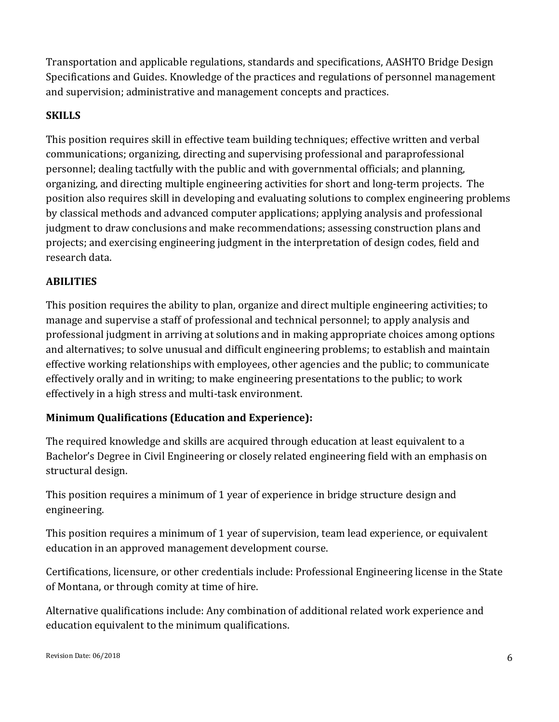Transportation and applicable regulations, standards and specifications, AASHTO Bridge Design Specifications and Guides. Knowledge of the practices and regulations of personnel management and supervision; administrative and management concepts and practices.

# **SKILLS**

This position requires skill in effective team building techniques; effective written and verbal communications; organizing, directing and supervising professional and paraprofessional personnel; dealing tactfully with the public and with governmental officials; and planning, organizing, and directing multiple engineering activities for short and long-term projects. The position also requires skill in developing and evaluating solutions to complex engineering problems by classical methods and advanced computer applications; applying analysis and professional judgment to draw conclusions and make recommendations; assessing construction plans and projects; and exercising engineering judgment in the interpretation of design codes, field and research data.

## **ABILITIES**

This position requires the ability to plan, organize and direct multiple engineering activities; to manage and supervise a staff of professional and technical personnel; to apply analysis and professional judgment in arriving at solutions and in making appropriate choices among options and alternatives; to solve unusual and difficult engineering problems; to establish and maintain effective working relationships with employees, other agencies and the public; to communicate effectively orally and in writing; to make engineering presentations to the public; to work effectively in a high stress and multi-task environment.

# **Minimum Qualifications (Education and Experience):**

The required knowledge and skills are acquired through education at least equivalent to a Bachelor's Degree in Civil Engineering or closely related engineering field with an emphasis on structural design.

This position requires a minimum of 1 year of experience in bridge structure design and engineering.

This position requires a minimum of 1 year of supervision, team lead experience, or equivalent education in an approved management development course.

Certifications, licensure, or other credentials include: Professional Engineering license in the State of Montana, or through comity at time of hire.

Alternative qualifications include: Any combination of additional related work experience and education equivalent to the minimum qualifications.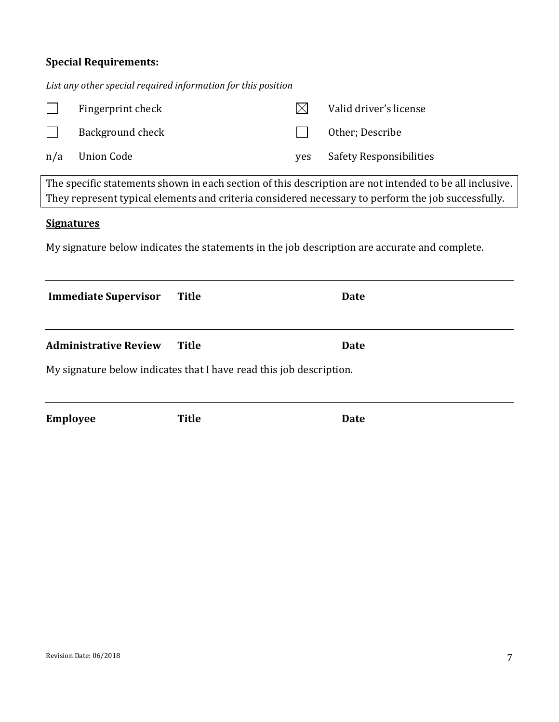# **Special Requirements:**

*List any other special required information for this position*

|                                                                                                                                                                                                               | Fingerprint check            |                                                                     |     | Valid driver's license  |  |  |
|---------------------------------------------------------------------------------------------------------------------------------------------------------------------------------------------------------------|------------------------------|---------------------------------------------------------------------|-----|-------------------------|--|--|
|                                                                                                                                                                                                               | Background check             |                                                                     |     | Other; Describe         |  |  |
| n/a                                                                                                                                                                                                           | <b>Union Code</b>            |                                                                     | yes | Safety Responsibilities |  |  |
|                                                                                                                                                                                                               |                              |                                                                     |     |                         |  |  |
| The specific statements shown in each section of this description are not intended to be all inclusive.<br>They represent typical elements and criteria considered necessary to perform the job successfully. |                              |                                                                     |     |                         |  |  |
| <b>Signatures</b><br>My signature below indicates the statements in the job description are accurate and complete.                                                                                            |                              |                                                                     |     |                         |  |  |
|                                                                                                                                                                                                               |                              |                                                                     |     |                         |  |  |
|                                                                                                                                                                                                               | <b>Immediate Supervisor</b>  | <b>Title</b>                                                        |     | <b>Date</b>             |  |  |
|                                                                                                                                                                                                               | <b>Administrative Review</b> | <b>Title</b>                                                        |     | <b>Date</b>             |  |  |
|                                                                                                                                                                                                               |                              | My signature below indicates that I have read this job description. |     |                         |  |  |